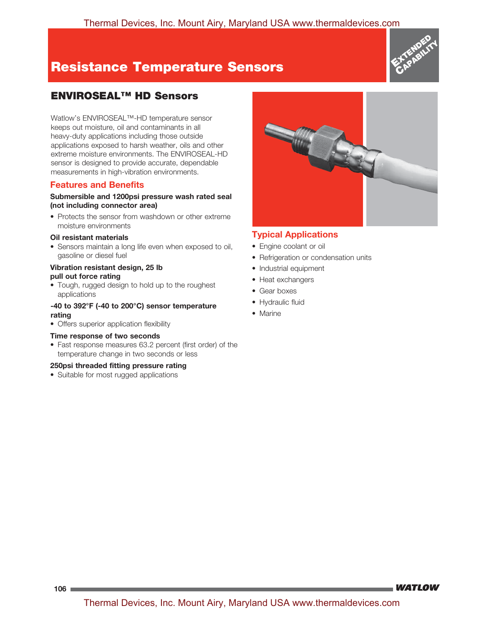# **Resistance Temperature Sensors**



## **ENVIROSEAL™ HD Sensors**

Watlow's ENVIROSEAL™-HD temperature sensor keeps out moisture, oil and contaminants in all heavy-duty applications including those outside applications exposed to harsh weather, oils and other extreme moisture environments. The ENVIROSEAL-HD sensor is designed to provide accurate, dependable measurements in high-vibration environments.

### **Features and Benefits**

#### **Submersible and 1200psi pressure wash rated seal (not including connector area)**

• Protects the sensor from washdown or other extreme moisture environments

#### **Oil resistant materials**

• Sensors maintain a long life even when exposed to oil, gasoline or diesel fuel

#### **Vibration resistant design, 25 lb pull out force rating**

• Tough, rugged design to hold up to the roughest applications

#### **-40 to 392°F (-40 to 200°C) sensor temperature rating**

• Offers superior application flexibility

#### **Time response of two seconds**

• Fast response measures 63.2 percent (first order) of the temperature change in two seconds or less

#### **250psi threaded fitting pressure rating**

• Suitable for most rugged applications



### **Typical Applications**

- Engine coolant or oil
- Refrigeration or condensation units
- Industrial equipment
- Heat exchangers
- Gear boxes
- Hydraulic fluid
- Marine

**WATLOW**